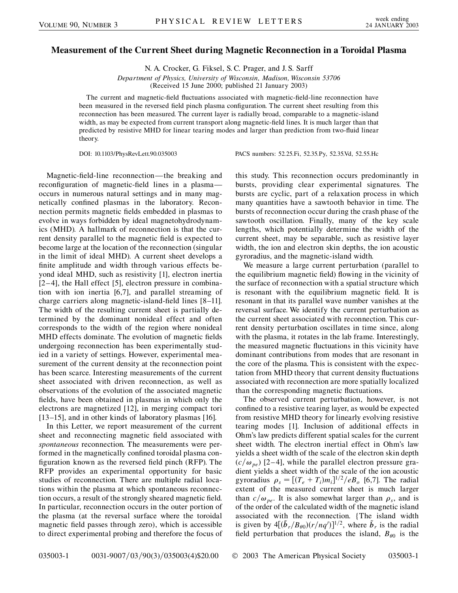## **Measurement of the Current Sheet during Magnetic Reconnection in a Toroidal Plasma**

N. A. Crocker, G. Fiksel, S. C. Prager, and J. S. Sarff

*Department of Physics, University of Wisconsin, Madison, Wisconsin 53706*

(Received 15 June 2000; published 21 January 2003)

The current and magnetic-field fluctuations associated with magnetic-field-line reconnection have been measured in the reversed field pinch plasma configuration. The current sheet resulting from this reconnection has been measured. The current layer is radially broad, comparable to a magnetic-island width, as may be expected from current transport along magnetic-field lines. It is much larger than that predicted by resistive MHD for linear tearing modes and larger than prediction from two-fluid linear theory.

DOI: 10.1103/PhysRevLett.90.035003 PACS numbers: 52.25.Fi, 52.35.Py, 52.35.Vd, 52.55.Hc

Magnetic-field-line reconnection—the breaking and reconfiguration of magnetic-field lines in a plasma occurs in numerous natural settings and in many magnetically confined plasmas in the laboratory. Reconnection permits magnetic fields embedded in plasmas to evolve in ways forbidden by ideal magnetohydrodynamics (MHD). A hallmark of reconnection is that the current density parallel to the magnetic field is expected to become large at the location of the reconnection (singular in the limit of ideal MHD). A current sheet develops a finite amplitude and width through various effects beyond ideal MHD, such as resistivity [1], electron inertia [2–4], the Hall effect [5], electron pressure in combination with ion inertia [6,7], and parallel streaming of charge carriers along magnetic-island-field lines [8–11]. The width of the resulting current sheet is partially determined by the dominant nonideal effect and often corresponds to the width of the region where nonideal MHD effects dominate. The evolution of magnetic fields undergoing reconnection has been experimentally studied in a variety of settings. However, experimental measurement of the current density at the reconnection point has been scarce. Interesting measurements of the current sheet associated with driven reconnection, as well as observations of the evolution of the associated magnetic fields, have been obtained in plasmas in which only the electrons are magnetized [12], in merging compact tori [13–15], and in other kinds of laboratory plasmas [16].

In this Letter, we report measurement of the current sheet and reconnecting magnetic field associated with *spontaneous* reconnection. The measurements were performed in the magnetically confined toroidal plasma configuration known as the reversed field pinch (RFP). The RFP provides an experimental opportunity for basic studies of reconnection. There are multiple radial locations within the plasma at which spontaneous reconnection occurs, a result of the strongly sheared magnetic field. In particular, reconnection occurs in the outer portion of the plasma (at the reversal surface where the toroidal magnetic field passes through zero), which is accessible to direct experimental probing and therefore the focus of this study. This reconnection occurs predominantly in bursts, providing clear experimental signatures. The bursts are cyclic, part of a relaxation process in which many quantities have a sawtooth behavior in time. The bursts of reconnection occur during the crash phase of the sawtooth oscillation. Finally, many of the key scale lengths, which potentially determine the width of the current sheet, may be separable, such as resistive layer width, the ion and electron skin depths, the ion acoustic gyroradius, and the magnetic-island width.

We measure a large current perturbation (parallel to the equilibrium magnetic field) flowing in the vicinity of the surface of reconnection with a spatial structure which is resonant with the equilibrium magnetic field. It is resonant in that its parallel wave number vanishes at the reversal surface. We identify the current perturbation as the current sheet associated with reconnection. This current density perturbation oscillates in time since, along with the plasma, it rotates in the lab frame. Interestingly, the measured magnetic fluctuations in this vicinity have dominant contributions from modes that are resonant in the core of the plasma. This is consistent with the expectation from MHD theory that current density fluctuations associated with reconnection are more spatially localized than the corresponding magnetic fluctuations.

The observed current perturbation, however, is not confined to a resistive tearing layer, as would be expected from resistive MHD theory for linearly evolving resistive tearing modes [1]. Inclusion of additional effects in Ohm's law predicts different spatial scales for the current sheet width. The electron inertial effect in Ohm's law yields a sheet width of the scale of the electron skin depth  $(c/\omega_{pe})$  [2–4], while the parallel electron pressure gradient yields a sheet width of the scale of the ion acoustic gyroradius  $\rho_s = \left[ (T_e + T_i) m_i \right]^{1/2} / e B_o$  [6,7]. The radial extent of the measured current sheet is much larger than  $c/\omega_{pe}$ . It is also somewhat larger than  $\rho_s$ , and is of the order of the calculated width of the magnetic island associated with the reconnection. {The island width is given by  $4[(\tilde{b}_r/B_{\theta 0})(r/nq')]^{1/2}$ , where  $\tilde{b}_r$  is the radial field perturbation that produces the island,  $B_{\theta 0}$  is the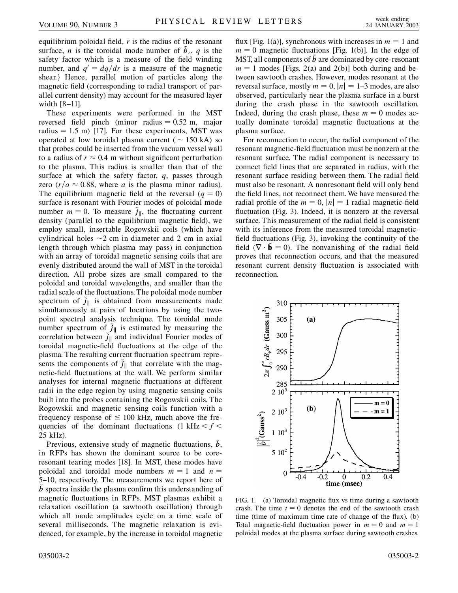equilibrium poloidal field, *r* is the radius of the resonant surface, *n* is the toroidal mode number of  $\tilde{b}_r$ , *q* is the safety factor which is a measure of the field winding number, and  $q' = dq/dr$  is a measure of the magnetic shear.} Hence, parallel motion of particles along the magnetic field (corresponding to radial transport of parallel current density) may account for the measured layer width [8–11].

These experiments were performed in the MST reversed field pinch (minor radius  $= 0.52$  m, major radius  $= 1.5$  m) [17]. For these experiments, MST was operated at low toroidal plasma current ( $\sim$  150 kA) so that probes could be inserted from the vacuum vessel wall to a radius of  $r \approx 0.4$  m without significant perturbation to the plasma. This radius is smaller than that of the surface at which the safety factor, *q*, passes through zero  $\left(\frac{r}{a} \approx 0.88\right)$ , where *a* is the plasma minor radius). The equilibrium magnetic field at the reversal  $(q = 0)$ surface is resonant with Fourier modes of poloidal mode number  $m = 0$ . To measure  $\vec{j}_{\parallel}$ , the fluctuating current density (parallel to the equilibrium magnetic field), we employ small, insertable Rogowskii coils (which have cylindrical holes  $\sim$ 2 cm in diameter and 2 cm in axial length through which plasma may pass) in conjunction with an array of toroidal magnetic sensing coils that are evenly distributed around the wall of MST in the toroidal direction. All probe sizes are small compared to the poloidal and toroidal wavelengths, and smaller than the radial scale of the fluctuations. The poloidal mode number spectrum of  $\tilde{j}_{\parallel}$  is obtained from measurements made simultaneously at pairs of locations by using the twopoint spectral analysis technique. The toroidal mode number spectrum of  $j_{\parallel}$  is estimated by measuring the correlation between  $\tilde{j}_\parallel$  and individual Fourier modes of toroidal magnetic-field fluctuations at the edge of the plasma. The resulting current fluctuation spectrum represents the components of  $\ddot{j}_\parallel$  that correlate with the magnetic-field fluctuations at the wall. We perform similar analyses for internal magnetic fluctuations at different radii in the edge region by using magnetic sensing coils built into the probes containing the Rogowskii coils. The Rogowskii and magnetic sensing coils function with a frequency response of  $\leq 100$  kHz, much above the frequencies of the dominant fluctuations  $(1 \text{ kHz} < f <$ 25 kHz).

Previous, extensive study of magnetic fluctuations, *b*, in RFPs has shown the dominant source to be coreresonant tearing modes [18]. In MST, these modes have poloidal and toroidal mode numbers  $m = 1$  and  $n =$ 5–10, respectively. The measurements we report here of  $\ddot{b}$  spectra inside the plasma confirm this understanding of magnetic fluctuations in RFPs. MST plasmas exhibit a relaxation oscillation (a sawtooth oscillation) through which all mode amplitudes cycle on a time scale of several milliseconds. The magnetic relaxation is evidenced, for example, by the increase in toroidal magnetic flux [Fig. 1(a)], synchronous with increases in  $m = 1$  and  $m = 0$  magnetic fluctuations [Fig. 1(b)]. In the edge of MST, all components of  $\ddot{b}$  are dominated by core-resonant  $m = 1$  modes [Figs. 2(a) and 2(b)] both during and between sawtooth crashes. However, modes resonant at the reversal surface, mostly  $m = 0$ ,  $|n| = 1-3$  modes, are also observed, particularly near the plasma surface in a burst during the crash phase in the sawtooth oscillation. Indeed, during the crash phase, these  $m = 0$  modes actually dominate toroidal magnetic fluctuations at the plasma surface.

For reconnection to occur, the radial component of the resonant magnetic-field fluctuation must be nonzero at the resonant surface. The radial component is necessary to connect field lines that are separated in radius, with the resonant surface residing between them. The radial field must also be resonant. A nonresonant field will only bend the field lines, not reconnect them. We have measured the radial profile of the  $m = 0$ ,  $|n| = 1$  radial magnetic-field fluctuation (Fig. 3). Indeed, it is nonzero at the reversal surface. This measurement of the radial field is consistent with its inference from the measured toroidal magneticfield fluctuations (Fig. 3), invoking the continuity of the field  $(\nabla \cdot \tilde{\mathbf{b}} = 0)$ . The nonvanishing of the radial field proves that reconnection occurs, and that the measured resonant current density fluctuation is associated with reconnection.



FIG. 1. (a) Toroidal magnetic flux vs time during a sawtooth crash. The time  $t = 0$  denotes the end of the sawtooth crash time (time of maximum time rate of change of the flux). (b) Total magnetic-field fluctuation power in  $m = 0$  and  $m = 1$ poloidal modes at the plasma surface during sawtooth crashes.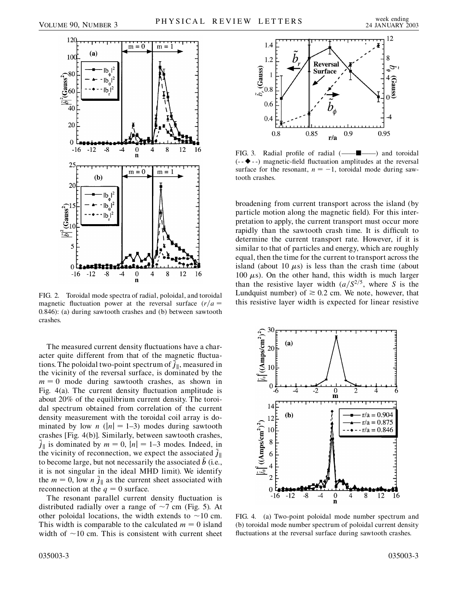

FIG. 2. Toroidal mode spectra of radial, poloidal, and toroidal magnetic fluctuation power at the reversal surface  $(r/a =$ 0*:*846): (a) during sawtooth crashes and (b) between sawtooth crashes.

The measured current density fluctuations have a character quite different from that of the magnetic fluctuations. The poloidal two-point spectrum of  $\tilde{j}_\parallel$ , measured in the vicinity of the reversal surface, is dominated by the  $m = 0$  mode during sawtooth crashes, as shown in Fig. 4(a). The current density fluctuation amplitude is about 20% of the equilibrium current density. The toroidal spectrum obtained from correlation of the current density measurement with the toroidal coil array is dominated by low *n* ( $|n| = 1-3$ ) modes during sawtooth crashes [Fig. 4(b)]. Similarly, between sawtooth crashes,  $\tilde{j}_\parallel$  is dominated by  $m = 0$ ,  $|n| = 1-3$  modes. Indeed, in the vicinity of reconnection, we expect the associated  $\tilde{j}_{\parallel}$ to become large, but not necessarily the associated *b*~ (i.e., it is not singular in the ideal MHD limit). We identify the  $m = 0$ , low *n*  $\hat{j}_{\parallel}$  as the current sheet associated with reconnection at the  $q = 0$  surface.

The resonant parallel current density fluctuation is distributed radially over a range of  $\sim$ 7 cm (Fig. 5). At other poloidal locations, the width extends to  $\sim$ 10 cm. This width is comparable to the calculated  $m = 0$  island width of  $\sim$ 10 cm. This is consistent with current sheet



FIG. 3. Radial profile of radial (------ $( \blacklozenge$  --) magnetic-field fluctuation amplitudes at the reversal surface for the resonant,  $n = -1$ , toroidal mode during sawtooth crashes.

broadening from current transport across the island (by particle motion along the magnetic field). For this interpretation to apply, the current transport must occur more rapidly than the sawtooth crash time. It is difficult to determine the current transport rate. However, if it is similar to that of particles and energy, which are roughly equal, then the time for the current to transport across the island (about 10  $\mu$ s) is less than the crash time (about 100  $\mu$ s). On the other hand, this width is much larger than the resistive layer width  $(a/S^{2/5})$ , where *S* is the Lundquist number) of  $\geq 0.2$  cm. We note, however, that this resistive layer width is expected for linear resistive



FIG. 4. (a) Two-point poloidal mode number spectrum and (b) toroidal mode number spectrum of poloidal current density fluctuations at the reversal surface during sawtooth crashes.